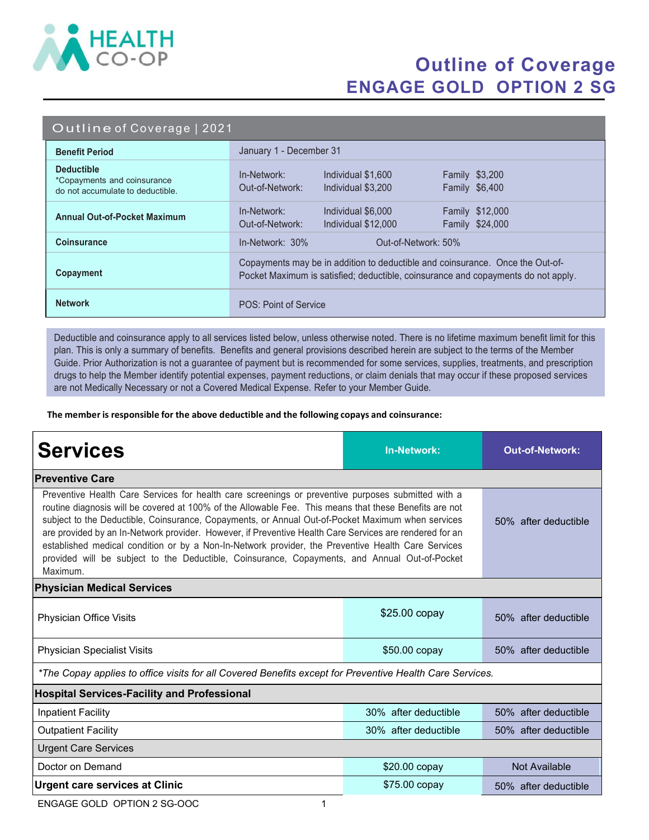

## Outline of Coverage ENGAGE GOLD OPTION 2 SG

#### Outline of Coverage | 2021

| <b>Benefit Period</b>                                                                | January 1 - December 31                                                                                                                                            |  |  |
|--------------------------------------------------------------------------------------|--------------------------------------------------------------------------------------------------------------------------------------------------------------------|--|--|
| <b>Deductible</b><br>*Copayments and coinsurance<br>do not accumulate to deductible. | <b>Family \$3,200</b><br>In-Network:<br>Individual \$1,600<br>Out-of-Network:<br>Family \$6,400<br>Individual \$3,200                                              |  |  |
| <b>Annual Out-of-Pocket Maximum</b>                                                  | <b>Family \$12,000</b><br>In-Network:<br>Individual \$6,000<br>Family \$24,000<br>Out-of-Network:<br>Individual \$12,000                                           |  |  |
| <b>Coinsurance</b>                                                                   | $In-Network: 30%$<br>Out-of-Network: 50%                                                                                                                           |  |  |
| Copayment                                                                            | Copayments may be in addition to deductible and coinsurance. Once the Out-of-<br>Pocket Maximum is satisfied; deductible, coinsurance and copayments do not apply. |  |  |
| <b>Network</b>                                                                       | POS: Point of Service                                                                                                                                              |  |  |

Deductible and coinsurance apply to all services listed below, unless otherwise noted. There is no lifetime maximum benefit limit for this plan. This is only a summary of benefits. Benefits and general provisions described herein are subject to the terms of the Member Guide. Prior Authorization is not a guarantee of payment but is recommended for some services, supplies, treatments, and prescription drugs to help the Member identify potential expenses, payment reductions, or claim denials that may occur if these proposed services are not Medically Necessary or not a Covered Medical Expense. Refer to your Member Guide.

The member is responsible for the above deductible and the following copays and coinsurance:

| <b>Services</b>                                                                                                                                                                                                                                                                                                                                                                                                                                                                                                                                                                                                                                 | <b>In-Network:</b>   | <b>Out-of-Network:</b> |  |  |
|-------------------------------------------------------------------------------------------------------------------------------------------------------------------------------------------------------------------------------------------------------------------------------------------------------------------------------------------------------------------------------------------------------------------------------------------------------------------------------------------------------------------------------------------------------------------------------------------------------------------------------------------------|----------------------|------------------------|--|--|
| <b>Preventive Care</b>                                                                                                                                                                                                                                                                                                                                                                                                                                                                                                                                                                                                                          |                      |                        |  |  |
| Preventive Health Care Services for health care screenings or preventive purposes submitted with a<br>routine diagnosis will be covered at 100% of the Allowable Fee. This means that these Benefits are not<br>subject to the Deductible, Coinsurance, Copayments, or Annual Out-of-Pocket Maximum when services<br>are provided by an In-Network provider. However, if Preventive Health Care Services are rendered for an<br>established medical condition or by a Non-In-Network provider, the Preventive Health Care Services<br>provided will be subject to the Deductible, Coinsurance, Copayments, and Annual Out-of-Pocket<br>Maximum. | 50% after deductible |                        |  |  |
| <b>Physician Medical Services</b>                                                                                                                                                                                                                                                                                                                                                                                                                                                                                                                                                                                                               |                      |                        |  |  |
| Physician Office Visits                                                                                                                                                                                                                                                                                                                                                                                                                                                                                                                                                                                                                         | \$25.00 copay        | 50% after deductible   |  |  |
| <b>Physician Specialist Visits</b>                                                                                                                                                                                                                                                                                                                                                                                                                                                                                                                                                                                                              | $$50.00$ copay       | 50% after deductible   |  |  |
| *The Copay applies to office visits for all Covered Benefits except for Preventive Health Care Services.                                                                                                                                                                                                                                                                                                                                                                                                                                                                                                                                        |                      |                        |  |  |
| <b>Hospital Services-Facility and Professional</b>                                                                                                                                                                                                                                                                                                                                                                                                                                                                                                                                                                                              |                      |                        |  |  |
| <b>Inpatient Facility</b>                                                                                                                                                                                                                                                                                                                                                                                                                                                                                                                                                                                                                       | 30% after deductible | 50% after deductible   |  |  |
| <b>Outpatient Facility</b>                                                                                                                                                                                                                                                                                                                                                                                                                                                                                                                                                                                                                      | 30% after deductible | 50% after deductible   |  |  |
| <b>Urgent Care Services</b>                                                                                                                                                                                                                                                                                                                                                                                                                                                                                                                                                                                                                     |                      |                        |  |  |
| Doctor on Demand                                                                                                                                                                                                                                                                                                                                                                                                                                                                                                                                                                                                                                | \$20.00 copay        | Not Available          |  |  |
| <b>Urgent care services at Clinic</b>                                                                                                                                                                                                                                                                                                                                                                                                                                                                                                                                                                                                           | \$75.00 copay        | 50% after deductible   |  |  |

ENGAGE GOLD OPTION 2 SG-OOC 1 2 1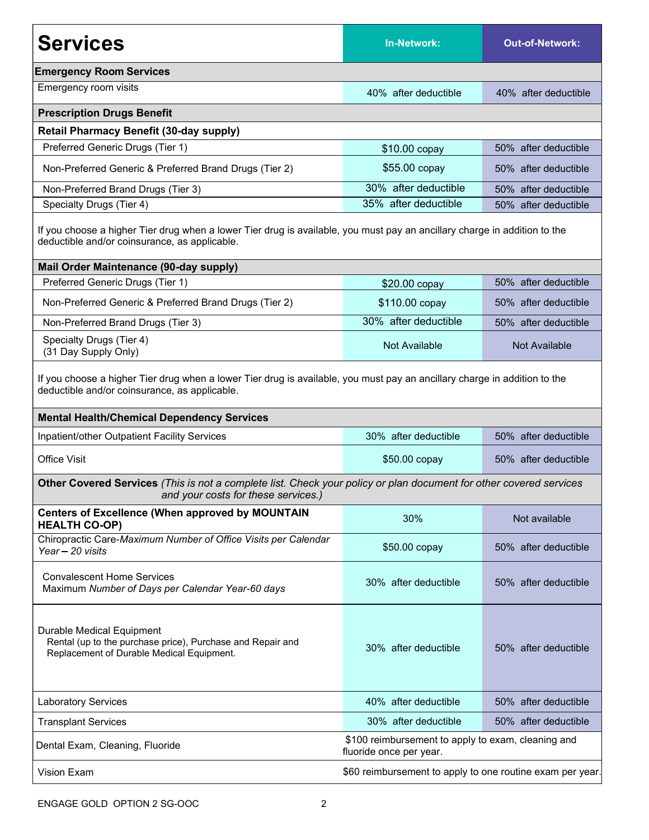| <b>Services</b>                                                                                                                                                                                                                 | <b>In-Network:</b>                                                            | <b>Out-of-Network:</b> |  |  |
|---------------------------------------------------------------------------------------------------------------------------------------------------------------------------------------------------------------------------------|-------------------------------------------------------------------------------|------------------------|--|--|
| <b>Emergency Room Services</b>                                                                                                                                                                                                  |                                                                               |                        |  |  |
| Emergency room visits                                                                                                                                                                                                           | 40% after deductible                                                          | 40% after deductible   |  |  |
| <b>Prescription Drugs Benefit</b>                                                                                                                                                                                               |                                                                               |                        |  |  |
| <b>Retail Pharmacy Benefit (30-day supply)</b>                                                                                                                                                                                  |                                                                               |                        |  |  |
| Preferred Generic Drugs (Tier 1)                                                                                                                                                                                                | \$10.00 copay                                                                 | 50% after deductible   |  |  |
| Non-Preferred Generic & Preferred Brand Drugs (Tier 2)                                                                                                                                                                          | \$55.00 copay                                                                 | 50% after deductible   |  |  |
| Non-Preferred Brand Drugs (Tier 3)                                                                                                                                                                                              | 30% after deductible                                                          | 50% after deductible   |  |  |
| Specialty Drugs (Tier 4)                                                                                                                                                                                                        | 35% after deductible                                                          | 50% after deductible   |  |  |
| If you choose a higher Tier drug when a lower Tier drug is available, you must pay an ancillary charge in addition to the<br>deductible and/or coinsurance, as applicable.                                                      |                                                                               |                        |  |  |
| Mail Order Maintenance (90-day supply)                                                                                                                                                                                          |                                                                               |                        |  |  |
| Preferred Generic Drugs (Tier 1)                                                                                                                                                                                                | \$20.00 copay                                                                 | 50% after deductible   |  |  |
| Non-Preferred Generic & Preferred Brand Drugs (Tier 2)                                                                                                                                                                          | \$110.00 copay                                                                | 50% after deductible   |  |  |
| Non-Preferred Brand Drugs (Tier 3)                                                                                                                                                                                              | 30% after deductible                                                          | 50% after deductible   |  |  |
| Specialty Drugs (Tier 4)<br>(31 Day Supply Only)                                                                                                                                                                                | Not Available                                                                 | <b>Not Available</b>   |  |  |
| If you choose a higher Tier drug when a lower Tier drug is available, you must pay an ancillary charge in addition to the<br>deductible and/or coinsurance, as applicable.<br><b>Mental Health/Chemical Dependency Services</b> |                                                                               |                        |  |  |
| Inpatient/other Outpatient Facility Services                                                                                                                                                                                    | 30% after deductible                                                          | 50% after deductible   |  |  |
| <b>Office Visit</b>                                                                                                                                                                                                             | \$50.00 copay                                                                 | 50% after deductible   |  |  |
| Other Covered Services (This is not a complete list. Check your policy or plan document for other covered services<br>and your costs for these services.)                                                                       |                                                                               |                        |  |  |
| <b>Centers of Excellence (When approved by MOUNTAIN</b><br><b>HEALTH CO-OP)</b>                                                                                                                                                 | 30%                                                                           | Not available          |  |  |
| Chiropractic Care-Maximum Number of Office Visits per Calendar<br>Year - 20 visits                                                                                                                                              | \$50.00 copay                                                                 | 50% after deductible   |  |  |
| <b>Convalescent Home Services</b><br>Maximum Number of Days per Calendar Year-60 days                                                                                                                                           | 30% after deductible                                                          | 50% after deductible   |  |  |
| Durable Medical Equipment<br>Rental (up to the purchase price), Purchase and Repair and<br>Replacement of Durable Medical Equipment.                                                                                            | 30% after deductible                                                          | 50% after deductible   |  |  |
| <b>Laboratory Services</b>                                                                                                                                                                                                      | 40% after deductible                                                          | 50% after deductible   |  |  |
| <b>Transplant Services</b>                                                                                                                                                                                                      | 30% after deductible                                                          | 50% after deductible   |  |  |
| Dental Exam, Cleaning, Fluoride                                                                                                                                                                                                 | \$100 reimbursement to apply to exam, cleaning and<br>fluoride once per year. |                        |  |  |
| Vision Exam                                                                                                                                                                                                                     | \$60 reimbursement to apply to one routine exam per year.                     |                        |  |  |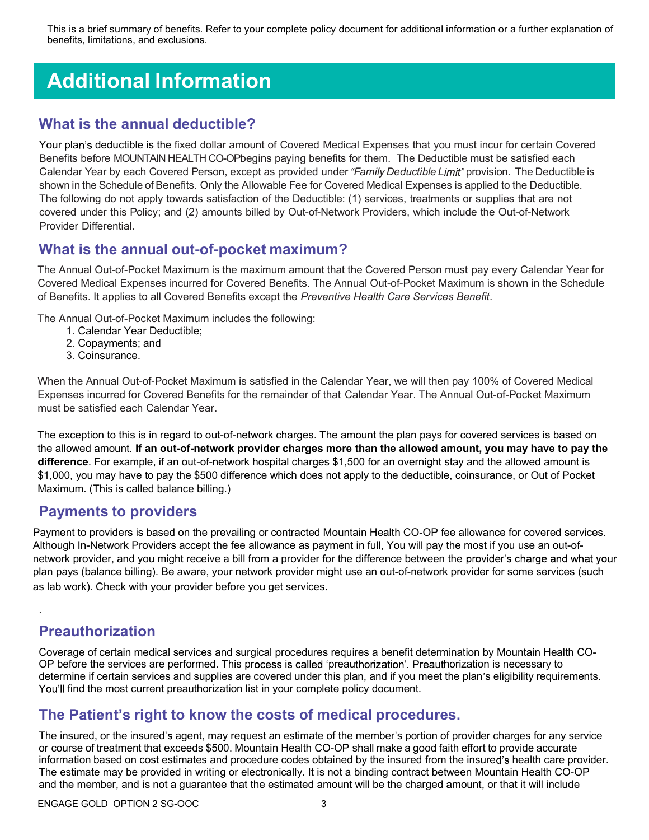This is a brief summary of benefits. Refer to your complete policy document for additional information or a further explanation of benefits, limitations, and exclusions.

# Additional Information

#### What is the annual deductible?

Your plan's deductible is the fixed dollar amount of Covered Medical Expenses that you must incur for certain Covered Benefits before MOUNTAIN HEALTH CO-OPbegins paying benefits for them. The Deductible must be satisfied each Calendar Year by each Covered Person, except as provided under "Family Deductible Limit" provision. The Deductible is shown in the Schedule of Benefits. Only the Allowable Fee for Covered Medical Expenses is applied to the Deductible. The following do not apply towards satisfaction of the Deductible: (1) services, treatments or supplies that are not covered under this Policy; and (2) amounts billed by Out-of-Network Providers, which include the Out-of-Network Provider Differential.

#### What is the annual out-of-pocket maximum?

The Annual Out-of-Pocket Maximum is the maximum amount that the Covered Person must pay every Calendar Year for Covered Medical Expenses incurred for Covered Benefits. The Annual Out-of-Pocket Maximum is shown in the Schedule of Benefits. It applies to all Covered Benefits except the Preventive Health Care Services Benefit.

The Annual Out-of-Pocket Maximum includes the following:

- 1. Calendar Year Deductible;
- 2. Copayments; and
- 3. Coinsurance.

When the Annual Out-of-Pocket Maximum is satisfied in the Calendar Year, we will then pay 100% of Covered Medical Expenses incurred for Covered Benefits for the remainder of that Calendar Year. The Annual Out-of-Pocket Maximum must be satisfied each Calendar Year.

The exception to this is in regard to out-of-network charges. The amount the plan pays for covered services is based on the allowed amount. If an out-of-network provider charges more than the allowed amount, you may have to pay the difference. For example, if an out-of-network hospital charges \$1,500 for an overnight stay and the allowed amount is \$1,000, you may have to pay the \$500 difference which does not apply to the deductible, coinsurance, or Out of Pocket Maximum. (This is called balance billing.)

#### Payments to providers

Payment to providers is based on the prevailing or contracted Mountain Health CO-OP fee allowance for covered services. Although In-Network Providers accept the fee allowance as payment in full, You will pay the most if you use an out-ofnetwork provider, and you might receive a bill from a provider for the difference between the provider's charge and what your plan pays (balance billing). Be aware, your network provider might use an out-of-network provider for some services (such as lab work). Check with your provider before you get services.

### Preauthorization

.

Coverage of certain medical services and surgical procedures requires a benefit determination by Mountain Health CO-OP before the services are performed. This process is called 'preauthorization'. Preauthorization is necessary to determine if certain services and supplies are covered under this plan, and if you meet the plan's eligibility requirements. You'll find the most current preauthorization list in your complete policy document.

#### The Patient's right to know the costs of medical procedures.

The insured, or the insured's agent, may request an estimate of the member's portion of provider charges for any service or course of treatment that exceeds \$500. Mountain Health CO-OP shall make a good faith effort to provide accurate information based on cost estimates and procedure codes obtained by the insured from the insured's health care provider. The estimate may be provided in writing or electronically. It is not a binding contract between Mountain Health CO-OP and the member, and is not a guarantee that the estimated amount will be the charged amount, or that it will include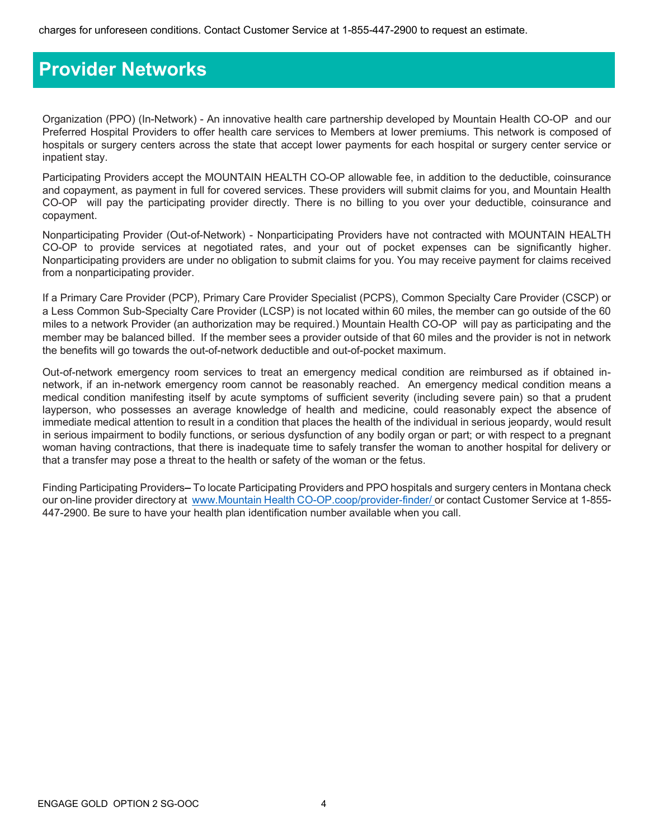### Provider Networks

Organization (PPO) (In-Network) - An innovative health care partnership developed by Mountain Health CO-OP and our Preferred Hospital Providers to offer health care services to Members at lower premiums. This network is composed of hospitals or surgery centers across the state that accept lower payments for each hospital or surgery center service or inpatient stay.

Participating Providers accept the MOUNTAIN HEALTH CO-OP allowable fee, in addition to the deductible, coinsurance and copayment, as payment in full for covered services. These providers will submit claims for you, and Mountain Health CO-OP will pay the participating provider directly. There is no billing to you over your deductible, coinsurance and copayment.

Nonparticipating Provider (Out-of-Network) - Nonparticipating Providers have not contracted with MOUNTAIN HEALTH CO-OP to provide services at negotiated rates, and your out of pocket expenses can be significantly higher. Nonparticipating providers are under no obligation to submit claims for you. You may receive payment for claims received from a nonparticipating provider.

If a Primary Care Provider (PCP), Primary Care Provider Specialist (PCPS), Common Specialty Care Provider (CSCP) or a Less Common Sub-Specialty Care Provider (LCSP) is not located within 60 miles, the member can go outside of the 60 miles to a network Provider (an authorization may be required.) Mountain Health CO-OP will pay as participating and the member may be balanced billed. If the member sees a provider outside of that 60 miles and the provider is not in network the benefits will go towards the out-of-network deductible and out-of-pocket maximum.

Out-of-network emergency room services to treat an emergency medical condition are reimbursed as if obtained innetwork, if an in-network emergency room cannot be reasonably reached. An emergency medical condition means a medical condition manifesting itself by acute symptoms of sufficient severity (including severe pain) so that a prudent layperson, who possesses an average knowledge of health and medicine, could reasonably expect the absence of immediate medical attention to result in a condition that places the health of the individual in serious jeopardy, would result in serious impairment to bodily functions, or serious dysfunction of any bodily organ or part; or with respect to a pregnant woman having contractions, that there is inadequate time to safely transfer the woman to another hospital for delivery or that a transfer may pose a threat to the health or safety of the woman or the fetus.

Finding Participating Providers–To locate Participating Providers and PPO hospitals and surgery centers in Montana check our on-line provider directory at www.Mountain Health CO-OP.coop/provider-finder/ or contact Customer Service at 1-855-447-2900. Be sure to have your health plan identification number available when you call.